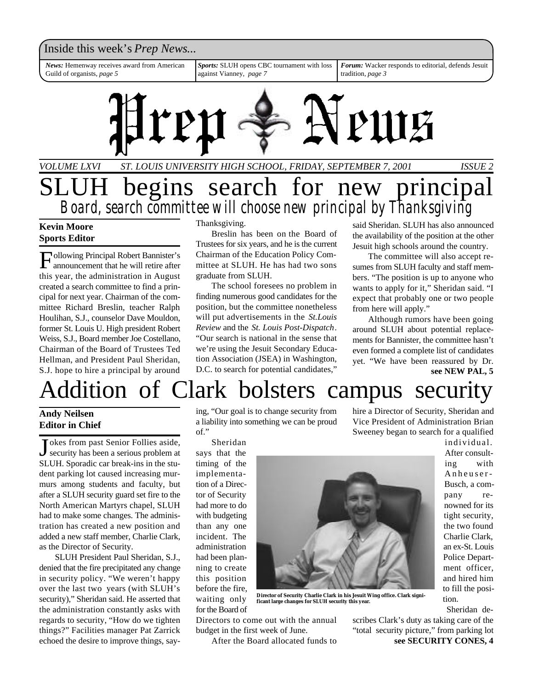

### **Kevin Moore Sports Editor**

F ollowing Principal Robert Bannister's announcement that he will retire after this year, the administration in August created a search committee to find a principal for next year. Chairman of the committee Richard Breslin, teacher Ralph Houlihan, S.J., counselor Dave Mouldon, former St. Louis U. High president Robert Weiss, S.J., Board member Joe Costellano, Chairman of the Board of Trustees Ted Hellman, and President Paul Sheridan, S.J. hope to hire a principal by around

#### Thanksgiving.

Breslin has been on the Board of Trustees for six years, and he is the current Chairman of the Education Policy Committee at SLUH. He has had two sons graduate from SLUH.

The school foresees no problem in finding numerous good candidates for the position, but the committee nonetheless will put advertisements in the *St.Louis Review* and the *St. Louis Post-Dispatch*. "Our search is national in the sense that we're using the Jesuit Secondary Education Association (JSEA) in Washington, D.C. to search for potential candidates,"

said Sheridan. SLUH has also announced the availability of the position at the other Jesuit high schools around the country.

The committee will also accept resumes from SLUH faculty and staff members. "The position is up to anyone who wants to apply for it," Sheridan said. "I expect that probably one or two people from here will apply."

**see NEW PAL, 5** Although rumors have been going around SLUH about potential replacements for Bannister, the committee hasn't even formed a complete list of candidates yet. "We have been reassured by Dr.

# ddition of Clark bolsters campus security

### **Andy Neilsen Editor in Chief**

J okes from past Senior Follies aside,<br>security has been a serious problem at okes from past Senior Follies aside, SLUH. Sporadic car break-ins in the student parking lot caused increasing murmurs among students and faculty, but after a SLUH security guard set fire to the North American Martyrs chapel, SLUH had to make some changes. The administration has created a new position and added a new staff member, Charlie Clark, as the Director of Security.

SLUH President Paul Sheridan, S.J., denied that the fire precipitated any change in security policy. "We weren't happy over the last two years (with SLUH's security)," Sheridan said. He asserted that the administration constantly asks with regards to security, "How do we tighten things?" Facilities manager Pat Zarrick echoed the desire to improve things, saying, "Our goal is to change security from a liability into something we can be proud of."

Sheridan says that the timing of the implementation of a Director of Security had more to do with budgeting than any one incident. The administration had been planning to create this position before the fire, waiting only for the Board of



**Director of Security Charlie Clark in his Jesuit Wing office. Clark significant large changes for SLUH security this year.**

Directors to come out with the annual budget in the first week of June.

After the Board allocated funds to

hire a Director of Security, Sheridan and Vice President of Administration Brian Sweeney began to search for a qualified

> individual. After consulting with Anheuser-Busch, a company renowned for its tight security, the two found Charlie Clark, an ex-St. Louis Police Department officer, and hired him to fill the position.

Sheridan de-

**see SECURITY CONES, 4** scribes Clark's duty as taking care of the "total security picture," from parking lot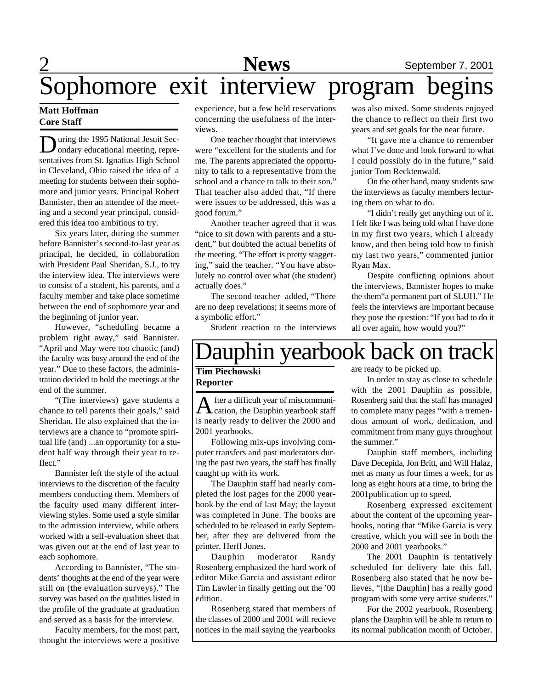# 2 **News** September 7, 2001 Sophomore exit interview program begins

### **Matt Hoffman Core Staff**

 $\sum$  uring the 1995 National Jesuit Sec-<br>ondary educational meeting, repreuring the 1995 National Jesuit Secsentatives from St. Ignatius High School in Cleveland, Ohio raised the idea of a meeting for students between their sophomore and junior years. Principal Robert Bannister, then an attendee of the meeting and a second year principal, considered this idea too ambitious to try.

Six years later, during the summer before Bannister's second-to-last year as principal, he decided, in collaboration with President Paul Sheridan, S.J., to try the interview idea. The interviews were to consist of a student, his parents, and a faculty member and take place sometime between the end of sophomore year and the beginning of junior year.

However, "scheduling became a problem right away," said Bannister. "April and May were too chaotic (and) the faculty was busy around the end of the year." Due to these factors, the administration decided to hold the meetings at the end of the summer.

"(The interviews) gave students a chance to tell parents their goals," said Sheridan. He also explained that the interviews are a chance to "promote spiritual life (and) ...an opportunity for a student half way through their year to reflect."

Bannister left the style of the actual interviews to the discretion of the faculty members conducting them. Members of the faculty used many different interviewing styles. Some used a style similar to the admission interview, while others worked with a self-evaluation sheet that was given out at the end of last year to each sophomore.

According to Bannister, "The students' thoughts at the end of the year were still on (the evaluation surveys)." The survey was based on the qualities listed in the profile of the graduate at graduation and served as a basis for the interview.

Faculty members, for the most part, thought the interviews were a positive

experience, but a few held reservations concerning the usefulness of the interviews.

One teacher thought that interviews were "excellent for the students and for me. The parents appreciated the opportunity to talk to a representative from the school and a chance to talk to their son." That teacher also added that, "If there were issues to be addressed, this was a good forum."

Another teacher agreed that it was "nice to sit down with parents and a student," but doubted the actual benefits of the meeting. "The effort is pretty staggering," said the teacher. "You have absolutely no control over what (the student) actually does."

The second teacher added, "There are no deep revelations; it seems more of a symbolic effort."

Student reaction to the interviews

was also mixed. Some students enjoyed the chance to reflect on their first two years and set goals for the near future.

"It gave me a chance to remember what I've done and look forward to what I could possibly do in the future," said junior Tom Recktenwald.

On the other hand, many students saw the interviews as faculty members lecturing them on what to do.

"I didn't really get anything out of it. I felt like I was being told what I have done in my first two years, which I already know, and then being told how to finish my last two years," commented junior Ryan Max.

Despite conflicting opinions about the interviews, Bannister hopes to make the them"a permanent part of SLUH." He feels the interviews are important because they pose the question: "If you had to do it all over again, how would you?"

# auphin yearbook back on track

**Tim Piechowski Reporter**

A fter a difficult year of miscommuni-<br>cation, the Dauphin yearbook staff fter a difficult year of miscommuniis nearly ready to deliver the 2000 and 2001 yearbooks.

Following mix-ups involving computer transfers and past moderators during the past two years, the staff has finally caught up with its work.

The Dauphin staff had nearly completed the lost pages for the 2000 yearbook by the end of last May; the layout was completed in June. The books are scheduled to be released in early September, after they are delivered from the printer, Herff Jones.

Dauphin moderator Randy Rosenberg emphasized the hard work of editor Mike Garcia and assistant editor Tim Lawler in finally getting out the '00 edition.

Rosenberg stated that members of the classes of 2000 and 2001 will recieve notices in the mail saying the yearbooks

are ready to be picked up.

In order to stay as close to schedule with the 2001 Dauphin as possible, Rosenberg said that the staff has managed to complete many pages "with a tremendous amount of work, dedication, and commitment from many guys throughout the summer."

Dauphin staff members, including Dave Decepida, Jon Britt, and Will Halaz, met as many as four times a week, for as long as eight hours at a time, to bring the 2001publication up to speed.

Rosenberg expressed excitement about the content of the upcoming yearbooks, noting that "Mike Garcia is very creative, which you will see in both the 2000 and 2001 yearbooks."

The 2001 Dauphin is tentatively scheduled for delivery late this fall. Rosenberg also stated that he now believes, "[the Dauphin] has a really good program with some very active students."

For the 2002 yearbook, Rosenberg plans the Dauphin will be able to return to its normal publication month of October.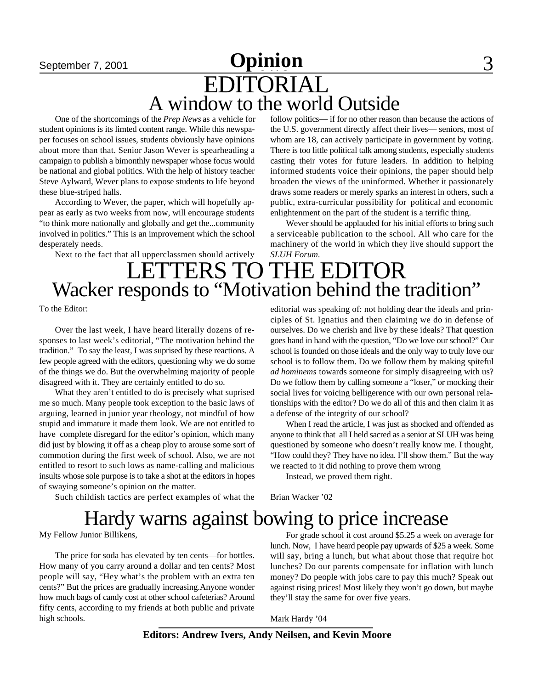## September 7, 2001 **Opinion** 3 EDITORIAL A window to the world Outside

One of the shortcomings of the *Prep News* as a vehicle for student opinions is its limted content range. While this newspaper focuses on school issues, students obviously have opinions about more than that. Senior Jason Wever is spearheading a campaign to publish a bimonthly newspaper whose focus would be national and global politics. With the help of history teacher Steve Aylward, Wever plans to expose students to life beyond these blue-striped halls.

According to Wever, the paper, which will hopefully appear as early as two weeks from now, will encourage students "to think more nationally and globally and get the...community involved in politics." This is an improvement which the school desperately needs.

Next to the fact that all upperclassmen should actively

follow politics— if for no other reason than because the actions of the U.S. government directly affect their lives— seniors, most of whom are 18, can actively participate in government by voting. There is too little political talk among students, especially students casting their votes for future leaders. In addition to helping informed students voice their opinions, the paper should help broaden the views of the uninformed. Whether it passionately draws some readers or merely sparks an interest in others, such a public, extra-curricular possibility for political and economic enlightenment on the part of the student is a terrific thing.

Wever should be applauded for his initial efforts to bring such a serviceable publication to the school. All who care for the machinery of the world in which they live should support the *SLUH Forum*.

## LETTERS TO THE EDITOR Wacker responds to "Motivation behind the tradition"

To the Editor:

Over the last week, I have heard literally dozens of responses to last week's editorial, "The motivation behind the tradition." To say the least, I was suprised by these reactions. A few people agreed with the editors, questioning why we do some of the things we do. But the overwhelming majority of people disagreed with it. They are certainly entitled to do so.

What they aren't entitled to do is precisely what suprised me so much. Many people took exception to the basic laws of arguing, learned in junior year theology, not mindful of how stupid and immature it made them look. We are not entitled to have complete disregard for the editor's opinion, which many did just by blowing it off as a cheap ploy to arouse some sort of commotion during the first week of school. Also, we are not entitled to resort to such lows as name-calling and malicious insults whose sole purpose is to take a shot at the editors in hopes of swaying someone's opinion on the matter.

Such childish tactics are perfect examples of what the

editorial was speaking of: not holding dear the ideals and principles of St. Ignatius and then claiming we do in defense of ourselves. Do we cherish and live by these ideals? That question goes hand in hand with the question, "Do we love our school?" Our school is founded on those ideals and the only way to truly love our school is to follow them. Do we follow them by making spiteful *ad hominems* towards someone for simply disagreeing with us? Do we follow them by calling someone a "loser," or mocking their social lives for voicing belligerence with our own personal relationships with the editor? Do we do all of this and then claim it as a defense of the integrity of our school?

When I read the article, I was just as shocked and offended as anyone to think that all I held sacred as a senior at SLUH was being questioned by someone who doesn't really know me. I thought, "How could they? They have no idea. I'll show them." But the way we reacted to it did nothing to prove them wrong

Instead, we proved them right.

Brian Wacker '02

## Hardy warns against bowing to price increase

My Fellow Junior Billikens,

The price for soda has elevated by ten cents—for bottles. How many of you carry around a dollar and ten cents? Most people will say, "Hey what's the problem with an extra ten cents?" But the prices are gradually increasing.Anyone wonder how much bags of candy cost at other school cafeterias? Around fifty cents, according to my friends at both public and private high schools.

For grade school it cost around \$5.25 a week on average for lunch. Now, I have heard people pay upwards of \$25 a week. Some will say, bring a lunch, but what about those that require hot lunches? Do our parents compensate for inflation with lunch money? Do people with jobs care to pay this much? Speak out against rising prices! Most likely they won't go down, but maybe they'll stay the same for over five years.

Mark Hardy '04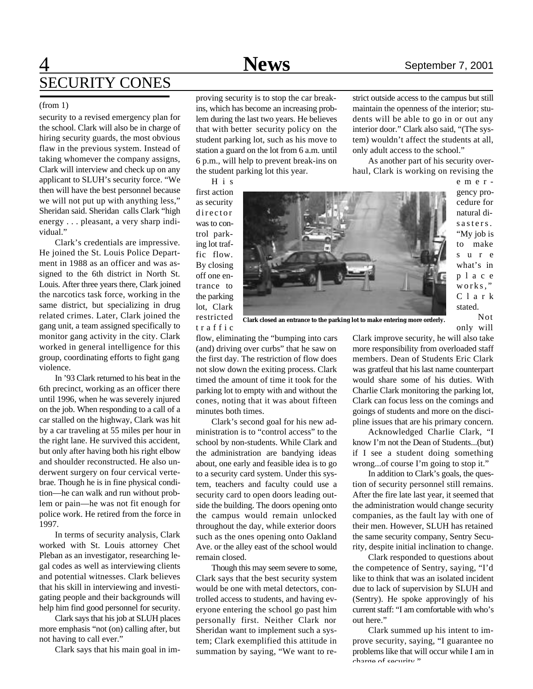strict outside access to the campus but still maintain the openness of the interior; students will be able to go in or out any interior door." Clark also said, "(The system) wouldn't affect the students at all,

As another part of his security overhaul, Clark is working on revising the

only adult access to the school."

### 4 **News** September 7, 2001 SECURITY CONES

#### (from 1)

security to a revised emergency plan for the school. Clark will also be in charge of hiring security guards, the most obvious flaw in the previous system. Instead of taking whomever the company assigns, Clark will interview and check up on any applicant to SLUH's security force. "We then will have the best personnel because we will not put up with anything less," Sheridan said. Sheridan calls Clark "high energy . . . pleasant, a very sharp individual."

Clark's credentials are impressive. He joined the St. Louis Police Department in 1988 as an officer and was assigned to the 6th district in North St. Louis. After three years there, Clark joined the narcotics task force, working in the same district, but specializing in drug related crimes. Later, Clark joined the gang unit, a team assigned specifically to monitor gang activity in the city. Clark worked in general intelligence for this group, coordinating efforts to fight gang violence.

In '93 Clark returned to his beat in the 6th precinct, working as an officer there until 1996, when he was severely injured on the job. When responding to a call of a car stalled on the highway, Clark was hit by a car traveling at 55 miles per hour in the right lane. He survived this accident, but only after having both his right elbow and shoulder reconstructed. He also underwent surgery on four cervical vertebrae. Though he is in fine physical condition—he can walk and run without problem or pain—he was not fit enough for police work. He retired from the force in 1997.

In terms of security analysis, Clark worked with St. Louis attorney Chet Pleban as an investigator, researching legal codes as well as interviewing clients and potential witnesses. Clark believes that his skill in interviewing and investigating people and their backgrounds will help him find good personnel for security.

Clark says that his job at SLUH places more emphasis "not (on) calling after, but not having to call ever."

Clark says that his main goal in im-

proving security is to stop the car breakins, which has become an increasing problem during the last two years. He believes that with better security policy on the student parking lot, such as his move to station a guard on the lot from 6 a.m. until 6 p.m., will help to prevent break-ins on the student parking lot this year.

H i s

first action as security director was to control parking lot traffic flow. By closing off one entrance to the parking lot, Clark restricted t r a f f i c



e m e r gency procedure for natural disasters. "My job is to make s u r e what's in p l a c e works," C l a r k stated. Not

only will

**Clark closed an entrance to the parking lot to make entering more orderly.**

flow, eliminating the "bumping into cars (and) driving over curbs" that he saw on the first day. The restriction of flow does not slow down the exiting process. Clark timed the amount of time it took for the parking lot to empty with and without the cones, noting that it was about fifteen minutes both times.

Clark's second goal for his new administration is to "control access" to the school by non-students. While Clark and the administration are bandying ideas about, one early and feasible idea is to go to a security card system. Under this system, teachers and faculty could use a security card to open doors leading outside the building. The doors opening onto the campus would remain unlocked throughout the day, while exterior doors such as the ones opening onto Oakland Ave. or the alley east of the school would remain closed.

Though this may seem severe to some, Clark says that the best security system would be one with metal detectors, controlled access to students, and having everyone entering the school go past him personally first. Neither Clark nor Sheridan want to implement such a system; Clark exemplified this attitude in summation by saying, "We want to re-

Clark improve security, he will also take more responsibility from overloaded staff members. Dean of Students Eric Clark was gratfeul that his last name counterpart would share some of his duties. With Charlie Clark monitoring the parking lot, Clark can focus less on the comings and goings of students and more on the discipline issues that are his primary concern.

Acknowledged Charlie Clark, "I know I'm not the Dean of Students...(but) if I see a student doing something wrong...of course I'm going to stop it."

In addition to Clark's goals, the question of security personnel still remains. After the fire late last year, it seemed that the administration would change security companies, as the fault lay with one of their men. However, SLUH has retained the same security company, Sentry Security, despite initial inclination to change.

Clark responded to questions about the competence of Sentry, saying, "I'd like to think that was an isolated incident due to lack of supervision by SLUH and (Sentry). He spoke approvingly of his current staff: "I am comfortable with who's out here."

Clark summed up his intent to improve security, saying, "I guarantee no problems like that will occur while I am in charge of security"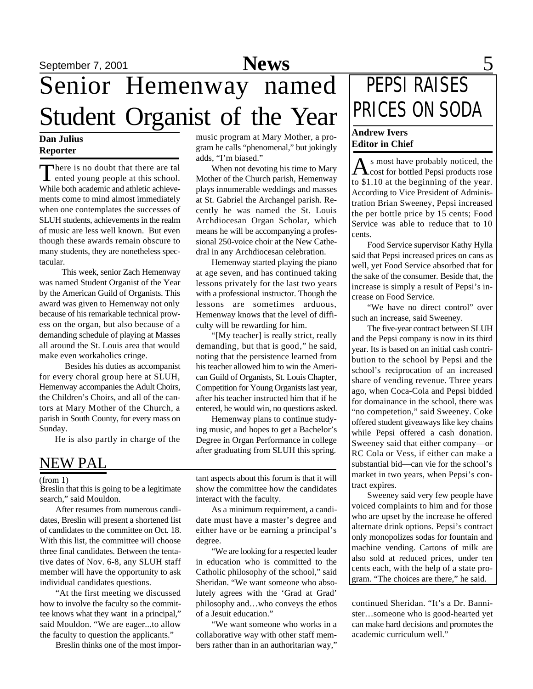# Senior Hemenway named Student Organist of the Year

### **Dan Julius Reporter**

There is no doubt that there are tal<br>ented young people at this school. There is no doubt that there are tal While both academic and athletic achievements come to mind almost immediately when one contemplates the successes of SLUH students, achievements in the realm of music are less well known. But even though these awards remain obscure to many students, they are nonetheless spectacular.

 This week, senior Zach Hemenway was named Student Organist of the Year by the American Guild of Organists. This award was given to Hemenway not only because of his remarkable technical prowess on the organ, but also because of a demanding schedule of playing at Masses all around the St. Louis area that would make even workaholics cringe.

 Besides his duties as accompanist for every choral group here at SLUH, Hemenway accompanies the Adult Choirs, the Children's Choirs, and all of the cantors at Mary Mother of the Church, a parish in South County, for every mass on Sunday.

He is also partly in charge of the

### NEW PAL

#### (from 1)

Breslin that this is going to be a legitimate search," said Mouldon.

After resumes from numerous candidates, Breslin will present a shortened list of candidates to the committee on Oct. 18. With this list, the committee will choose three final candidates. Between the tentative dates of Nov. 6-8, any SLUH staff member will have the opportunity to ask individual candidates questions.

"At the first meeting we discussed how to involve the faculty so the committee knows what they want in a principal," said Mouldon. "We are eager...to allow the faculty to question the applicants."

Breslin thinks one of the most impor-

music program at Mary Mother, a program he calls "phenomenal," but jokingly adds, "I'm biased."

When not devoting his time to Mary Mother of the Church parish, Hemenway plays innumerable weddings and masses at St. Gabriel the Archangel parish. Recently he was named the St. Louis Archdiocesan Organ Scholar, which means he will be accompanying a professional 250-voice choir at the New Cathedral in any Archdiocesan celebration.

Hemenway started playing the piano at age seven, and has continued taking lessons privately for the last two years with a professional instructor. Though the lessons are sometimes arduous, Hemenway knows that the level of difficulty will be rewarding for him.

"[My teacher] is really strict, really demanding, but that is good," he said, noting that the persistence learned from his teacher allowed him to win the American Guild of Organists, St. Louis Chapter, Competition for Young Organists last year, after his teacher instructed him that if he entered, he would win, no questions asked.

Hemenway plans to continue studying music, and hopes to get a Bachelor's Degree in Organ Performance in college after graduating from SLUH this spring.

tant aspects about this forum is that it will show the committee how the candidates interact with the faculty.

As a minimum requirement, a candidate must have a master's degree and either have or be earning a principal's degree.

"We are looking for a respected leader in education who is committed to the Catholic philosophy of the school," said Sheridan. "We want someone who absolutely agrees with the 'Grad at Grad' philosophy and…who conveys the ethos of a Jesuit education."

"We want someone who works in a collaborative way with other staff members rather than in an authoritarian way,"

# PEPSI RAISES PRICES ON SODA

### **Andrew Ivers Editor in Chief**

As most have probably noticed, the<br>cost for bottled Pepsi products rose s most have probably noticed, the to \$1.10 at the beginning of the year. According to Vice President of Administration Brian Sweeney, Pepsi increased the per bottle price by 15 cents; Food Service was able to reduce that to 10 cents.

Food Service supervisor Kathy Hylla said that Pepsi increased prices on cans as well, yet Food Service absorbed that for the sake of the consumer. Beside that, the increase is simply a result of Pepsi's increase on Food Service.

"We have no direct control" over such an increase, said Sweeney.

The five-year contract between SLUH and the Pepsi company is now in its third year. Its is based on an initial cash contribution to the school by Pepsi and the school's reciprocation of an increased share of vending revenue. Three years ago, when Coca-Cola and Pepsi bidded for domainance in the school, there was "no competetion," said Sweeney. Coke offered student giveaways like key chains while Pepsi offered a cash donation. Sweeney said that either company—or RC Cola or Vess, if either can make a substantial bid—can vie for the school's market in two years, when Pepsi's contract expires.

Sweeney said very few people have voiced complaints to him and for those who are upset by the increase he offered alternate drink options. Pepsi's contract only monopolizes sodas for fountain and machine vending. Cartons of milk are also sold at reduced prices, under ten cents each, with the help of a state program. "The choices are there," he said.

continued Sheridan. "It's a Dr. Bannister…someone who is good-hearted yet can make hard decisions and promotes the academic curriculum well."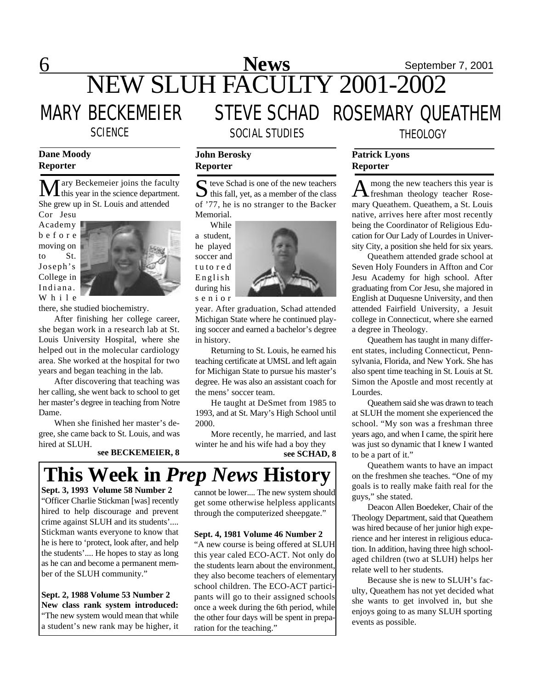## 6 **News** September 7, 2001 NEW SLUH FACULTY 2001-2002 MARY BECKEMEIER STEVE SCHAD ROSEMARY QUEATHEM SCIENCE SOCIAL STUDIES THEOLOGY

### **Dane Moody Reporter**

**M** ary Beckemeier joins the faculty<br>this year in the science department. She grew up in St. Louis and attended

Cor Jesu Academy b e f o r e moving on to St. Joseph's College in Indiana. W h i l e



there, she studied biochemistry.

After finishing her college career, she began work in a research lab at St. Louis University Hospital, where she helped out in the molecular cardiology area. She worked at the hospital for two years and began teaching in the lab.

After discovering that teaching was her calling, she went back to school to get her master's degree in teaching from Notre Dame.

When she finished her master's degree, she came back to St. Louis, and was hired at SLUH.

**see BECKEMEIER, 8** 

### $\sum$  teve Schad is one of the new teachers<br>this fall, yet, as a member of the class  $\Gamma$  teve Schad is one of the new teachers of '77, he is no stranger to the Backer Memorial. While

a student, he played soccer and t u to r e d English during his s e n i o r

**John Berosky Reporter**



year. After graduation, Schad attended Michigan State where he continued playing soccer and earned a bachelor's degree in history.

Returning to St. Louis, he earned his teaching certificate at UMSL and left again for Michigan State to pursue his master's degree. He was also an assistant coach for the mens' soccer team.

He taught at DeSmet from 1985 to 1993, and at St. Mary's High School until 2000.

More recently, he married, and last winter he and his wife had a boy they<br>see SCHAD, 8



**Sept. 3, 1993 Volume 58 Number 2** "Officer Charlie Stickman [was] recently hired to help discourage and prevent crime against SLUH and its students'.... Stickman wants everyone to know that he is here to 'protect, look after, and help the students'.... He hopes to stay as long as he can and become a permanent member of the SLUH community."

**Sept. 2, 1988 Volume 53 Number 2 New class rank system introduced:** "The new system would mean that while a student's new rank may be higher, it cannot be lower.... The new system should get some otherwise helpless applicants through the computerized sheepgate."

### **Sept. 4, 1981 Volume 46 Number 2**

"A new course is being offered at SLUH this year caled ECO-ACT. Not only do the students learn about the environment, they also become teachers of elementary school children. The ECO-ACT participants will go to their assigned schools once a week during the 6th period, while the other four days will be spent in preparation for the teaching."

### **Patrick Lyons Reporter**

A mong the new teachers this year is<br>freshman theology teacher Rosemong the new teachers this year is mary Queathem. Queathem, a St. Louis native, arrives here after most recently being the Coordinator of Religious Education for Our Lady of Lourdes in University City, a position she held for six years.

Queathem attended grade school at Seven Holy Founders in Affton and Cor Jesu Academy for high school. After graduating from Cor Jesu, she majored in English at Duquesne University, and then attended Fairfield University, a Jesuit college in Connecticut, where she earned a degree in Theology.

Queathem has taught in many different states, including Connecticut, Pennsylvania, Florida, and New York. She has also spent time teaching in St. Louis at St. Simon the Apostle and most recently at Lourdes.

Queathem said she was drawn to teach at SLUH the moment she experienced the school. "My son was a freshman three years ago, and when I came, the spirit here was just so dynamic that I knew I wanted to be a part of it."

Queathem wants to have an impact on the freshmen she teaches. "One of my goals is to really make faith real for the guys," she stated.

Deacon Allen Boedeker, Chair of the Theology Department, said that Queathem was hired because of her junior high experience and her interest in religious education. In addition, having three high schoolaged children (two at SLUH) helps her relate well to her students.

Because she is new to SLUH's faculty, Queathem has not yet decided what she wants to get involved in, but she enjoys going to as many SLUH sporting events as possible.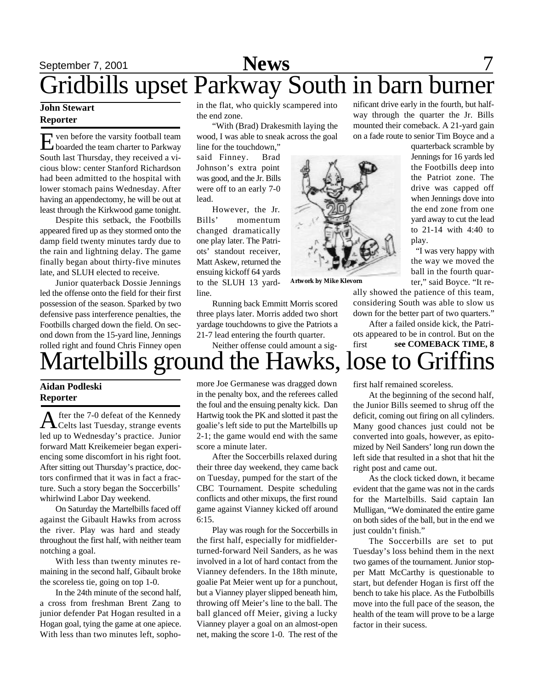### September 7, 2001 **News** 7 nificant drive early in the fourth, but half-Gridbills upset Parkway South in barn burner

### **John Stewart Reporter**

E ven before the varsity football team<br>boarded the team charter to Parkway<br>South last Thursday, they received a viven before the varsity football team boarded the team charter to Parkway cious blow: center Stanford Richardson had been admitted to the hospital with lower stomach pains Wednesday. After having an appendectomy, he will be out at least through the Kirkwood game tonight.

Despite this setback, the Footbills appeared fired up as they stormed onto the damp field twenty minutes tardy due to the rain and lightning delay. The game finally began about thirty-five minutes late, and SLUH elected to receive.

Junior quaterback Dossie Jennings led the offense onto the field for their first possession of the season. Sparked by two defensive pass interference penalties, the Footbills charged down the field. On second down from the 15-yard line, Jennings rolled right and found Chris Finney open in the flat, who quickly scampered into the end zone.

"With (Brad) Drakesmith laying the wood, I was able to sneak across the goal

line for the touchdown," said Finney. Brad Johnson's extra point was good, and the Jr. Bills were off to an early 7-0 lead.

However, the Jr. Bills' momentum changed dramatically one play later. The Patriots' standout receiver, Matt Askew, returned the ensuing kickoff 64 yards to the SLUH 13 yardline.

**Artwork by Mike Klevorn**

ally showed the patience of this team, considering South was able to slow us down for the better part of two quarters."

After a failed onside kick, the Patriots appeared to be in control. But on the first **see COMEBACK TIME, 8**

# Martelbills ground the Hawks, lose to Griffins

Running back Emmitt Morris scored three plays later. Morris added two short yardage touchdowns to give the Patriots a 21-7 lead entering the fourth quarter. Neither offense could amount a sig-

### **Aidan Podleski Reporter**

A fter the 7-0 defeat of the Kennedy<br>Celts last Tuesday, strange events fter the 7-0 defeat of the Kennedy led up to Wednesday's practice. Junior forward Matt Kreikemeier began experiencing some discomfort in his right foot. After sitting out Thursday's practice, doctors confirmed that it was in fact a fracture. Such a story began the Soccerbills' whirlwind Labor Day weekend.

On Saturday the Martelbills faced off against the Gibault Hawks from across the river. Play was hard and steady throughout the first half, with neither team notching a goal.

With less than twenty minutes remaining in the second half, Gibault broke the scoreless tie, going on top 1-0.

In the 24th minute of the second half, a cross from freshman Brent Zang to junior defender Pat Hogan resulted in a Hogan goal, tying the game at one apiece. With less than two minutes left, sophomore Joe Germanese was dragged down in the penalty box, and the referees called the foul and the ensuing penalty kick. Dan Hartwig took the PK and slotted it past the goalie's left side to put the Martelbills up 2-1; the game would end with the same score a minute later.

After the Soccerbills relaxed during their three day weekend, they came back on Tuesday, pumped for the start of the CBC Tournament. Despite scheduling conflicts and other mixups, the first round game against Vianney kicked off around 6:15.

Play was rough for the Soccerbills in the first half, especially for midfielderturned-forward Neil Sanders, as he was involved in a lot of hard contact from the Vianney defenders. In the 18th minute, goalie Pat Meier went up for a punchout, but a Vianney player slipped beneath him, throwing off Meier's line to the ball. The ball glanced off Meier, giving a lucky Vianney player a goal on an almost-open net, making the score 1-0. The rest of the

first half remained scoreless.

At the beginning of the second half, the Junior Bills seemed to shrug off the deficit, coming out firing on all cylinders. Many good chances just could not be converted into goals, however, as epitomized by Neil Sanders' long run down the left side that resulted in a shot that hit the right post and came out.

As the clock ticked down, it became evident that the game was not in the cards for the Martelbills. Said captain Ian Mulligan, "We dominated the entire game on both sides of the ball, but in the end we just couldn't finish."

The Soccerbills are set to put Tuesday's loss behind them in the next two games of the tournament. Junior stopper Matt McCarthy is questionable to start, but defender Hogan is first off the bench to take his place. As the Futbolbills move into the full pace of the season, the health of the team will prove to be a large factor in their sucess.

Jennings for 16 yards led the Footbills deep into the Patriot zone. The drive was capped off when Jennings dove into the end zone from one yard away to cut the lead to 21-14 with 4:40 to play.

quarterback scramble by

way through the quarter the Jr. Bills mounted their comeback. A 21-yard gain on a fade route to senior Tim Boyce and a

> "I was very happy with the way we moved the ball in the fourth quarter," said Boyce. "It re-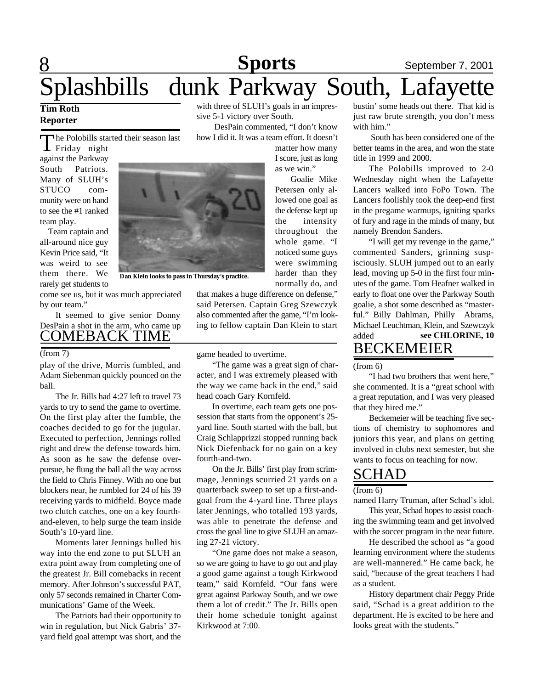# 8 **Sports** September 7, 2001 Splashbills dunk Parkway South, Lafayette

### **Tim Roth Reporter**

he Polobills started their season last

The Polobills sta against the Parkway South Patriots. Many of SLUH's STUCO community were on hand to see the #1 ranked team play.

 Team captain and all-around nice guy Kevin Price said, "It was weird to see them there. We rarely get students to

come see us, but it was much appreciated by our team."

It seemed to give senior Donny DesPain a shot in the arm, who came up COMEBACK TIME

#### (from 7)

play of the drive, Morris fumbled, and Adam Siebenman quickly pounced on the ball.

The Jr. Bills had 4:27 left to travel 73 yards to try to send the game to overtime. On the first play after the fumble, the coaches decided to go for the jugular. Executed to perfection, Jennings rolled right and drew the defense towards him. As soon as he saw the defense overpursue, he flung the ball all the way across the field to Chris Finney. With no one but blockers near, he rumbled for 24 of his 39 receiving yards to midfield. Boyce made two clutch catches, one on a key fourthand-eleven, to help surge the team inside South's 10-yard line.

Moments later Jennings bulled his way into the end zone to put SLUH an extra point away from completing one of the greatest Jr. Bill comebacks in recent memory. After Johnson's successful PAT, only 57 seconds remained in Charter Communications' Game of the Week.

The Patriots had their opportunity to win in regulation, but Nick Gabris' 37 yard field goal attempt was short, and the with three of SLUH's goals in an impressive 5-1 victory over South.

 DesPain commented, "I don't know how I did it. It was a team effort. It doesn't

> matter how many I score, just as long as we win."

Goalie Mike Petersen only allowed one goal as the defense kept up the intensity throughout the whole game. "I noticed some guys were swimming harder than they normally do, and

**Dan Klein looks to pass in Thursday's practice.**

that makes a huge difference on defense," said Petersen. Captain Greg Szewczyk also commented after the game, "I'm looking to fellow captain Dan Klein to start

game headed to overtime.

"The game was a great sign of character, and I was extremely pleased with the way we came back in the end," said head coach Gary Kornfeld.

In overtime, each team gets one possession that starts from the opponent's 25 yard line. South started with the ball, but Craig Schlapprizzi stopped running back Nick Diefenback for no gain on a key fourth-and-two.

On the Jr. Bills' first play from scrimmage, Jennings scurried 21 yards on a quarterback sweep to set up a first-andgoal from the 4-yard line. Three plays later Jennings, who totalled 193 yards, was able to penetrate the defense and cross the goal line to give SLUH an amazing 27-21 victory.

"One game does not make a season, so we are going to have to go out and play a good game against a tough Kirkwood team," said Kornfeld. "Our fans were great against Parkway South, and we owe them a lot of credit." The Jr. Bills open their home schedule tonight against Kirkwood at 7:00.

bustin' some heads out there. That kid is just raw brute strength, you don't mess with him."

 South has been considered one of the better teams in the area, and won the state title in 1999 and 2000.

The Polobills improved to 2-0 Wednesday night when the Lafayette Lancers walked into FoPo Town. The Lancers foolishly took the deep-end first in the pregame warmups, igniting sparks of fury and rage in the minds of many, but namely Brendon Sanders.

"I will get my revenge in the game," commented Sanders, grinning suspisciously. SLUH jumped out to an early lead, moving up 5-0 in the first four minutes of the game. Tom Heafner walked in early to float one over the Parkway South goalie, a shot some described as "masterful." Billy Dahlman, Philly Abrams, Michael Leuchtman, Klein, and Szewczyk added BECKEMEIER **see CHLORINE, 10**

(from 6)

"I had two brothers that went here," she commented. It is a "great school with a great reputation, and I was very pleased that they hired me."

Beckemeier will be teaching five sections of chemistry to sophomores and juniors this year, and plans on getting involved in clubs next semester, but she wants to focus on teaching for now.

### SCHAD

#### (from 6)

named Harry Truman, after Schad's idol.

This year, Schad hopes to assist coaching the swimming team and get involved with the soccer program in the near future.

He described the school as "a good learning environment where the students are well-mannered." He came back, he said, "because of the great teachers I had as a student.

History department chair Peggy Pride said, "Schad is a great addition to the department. He is excited to be here and looks great with the students."

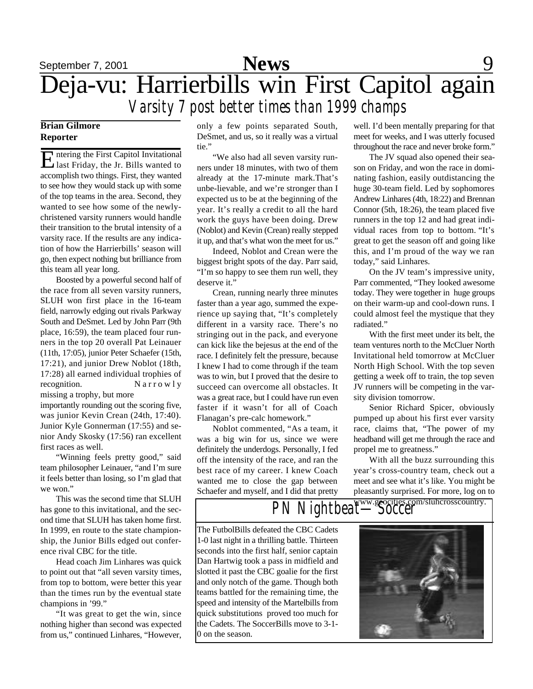

### **Brian Gilmore Reporter**

Entering the First Capitol Invitational<br>Last Friday, the Jr. Bills wanted to ntering the First Capitol Invitational accomplish two things. First, they wanted to see how they would stack up with some of the top teams in the area. Second, they wanted to see how some of the newlychristened varsity runners would handle their transition to the brutal intensity of a varsity race. If the results are any indication of how the Harrierbills' season will go, then expect nothing but brilliance from this team all year long.

Boosted by a powerful second half of the race from all seven varsity runners, SLUH won first place in the 16-team field, narrowly edging out rivals Parkway South and DeSmet. Led by John Parr (9th place, 16:59), the team placed four runners in the top 20 overall Pat Leinauer (11th, 17:05), junior Peter Schaefer (15th, 17:21), and junior Drew Noblot (18th, 17:28) all earned individual trophies of recognition.  $N a r r o w l v$ missing a trophy, but more

importantly rounding out the scoring five, was junior Kevin Crean (24th, 17:40). Junior Kyle Gonnerman (17:55) and senior Andy Skosky (17:56) ran excellent first races as well.

"Winning feels pretty good," said team philosopher Leinauer, "and I'm sure it feels better than losing, so I'm glad that we won."

This was the second time that SLUH has gone to this invitational, and the second time that SLUH has taken home first. In 1999, en route to the state championship, the Junior Bills edged out conference rival CBC for the title.

Head coach Jim Linhares was quick to point out that "all seven varsity times, from top to bottom, were better this year than the times run by the eventual state champions in '99."

"It was great to get the win, since nothing higher than second was expected from us," continued Linhares, "However,

only a few points separated South, DeSmet, and us, so it really was a virtual tie."

"We also had all seven varsity runners under 18 minutes, with two of them already at the 17-minute mark.That's unbe-lievable, and we're stronger than I expected us to be at the beginning of the year. It's really a credit to all the hard work the guys have been doing. Drew (Noblot) and Kevin (Crean) really stepped it up, and that's what won the meet for us."

Indeed, Noblot and Crean were the biggest bright spots of the day. Parr said, "I'm so happy to see them run well, they deserve it."

Crean, running nearly three minutes faster than a year ago, summed the experience up saying that, "It's completely different in a varsity race. There's no stringing out in the pack, and everyone can kick like the bejesus at the end of the race. I definitely felt the pressure, because I knew I had to come through if the team was to win, but I proved that the desire to succeed can overcome all obstacles. It was a great race, but I could have run even faster if it wasn't for all of Coach Flanagan's pre-calc homework."

Noblot commented, "As a team, it was a big win for us, since we were definitely the underdogs. Personally, I fed off the intensity of the race, and ran the best race of my career. I knew Coach wanted me to close the gap between Schaefer and myself, and I did that pretty

well. I'd been mentally preparing for that meet for weeks, and I was utterly focused throughout the race and never broke form."

The JV squad also opened their season on Friday, and won the race in dominating fashion, easily outdistancing the huge 30-team field. Led by sophomores Andrew Linhares (4th, 18:22) and Brennan Connor (5th, 18:26), the team placed five runners in the top 12 and had great individual races from top to bottom. "It's great to get the season off and going like this, and I'm proud of the way we ran today," said Linhares.

On the JV team's impressive unity, Parr commented, "They looked awesome today. They were together in huge groups on their warm-up and cool-down runs. I could almost feel the mystique that they radiated."

With the first meet under its belt, the team ventures north to the McCluer North Invitational held tomorrow at McCluer North High School. With the top seven getting a week off to train, the top seven JV runners will be competing in the varsity division tomorrow.

Senior Richard Spicer, obviously pumped up about his first ever varsity race, claims that, "The power of my headband will get me through the race and propel me to greatness."

With all the buzz surrounding this year's cross-country team, check out a meet and see what it's like. You might be pleasantly surprised. For more, log on to

## PN Nightbeat<sup>www.geocities.com/sluhcrosscountry.</sup>

The FutbolBills defeated the CBC Cadets 1-0 last night in a thrilling battle. Thirteen seconds into the first half, senior captain Dan Hartwig took a pass in midfield and slotted it past the CBC goalie for the first and only notch of the game. Though both teams battled for the remaining time, the speed and intensity of the Martelbills from quick substitutions proved too much for the Cadets. The SoccerBills move to 3-1- 0 on the season.